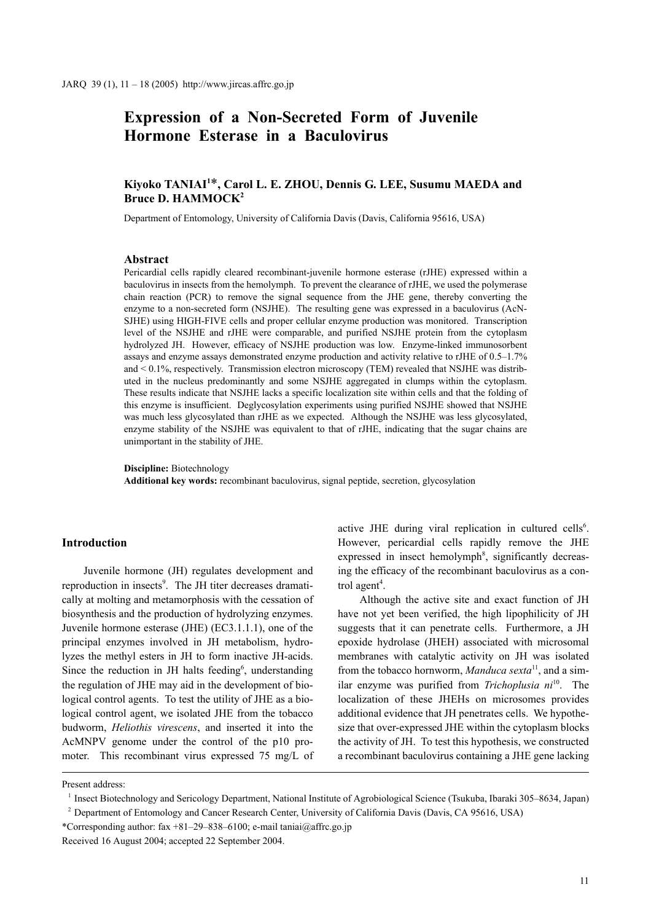# **Expression of a Non-Secreted Form of Juvenile Hormone Esterase in a Baculovirus**

# **Kiyoko TANIAI1** \***, Carol L. E. ZHOU, Dennis G. LEE, Susumu MAEDA and Bruce D. HAMMOCK2**

Department of Entomology, University of California Davis (Davis, California 95616, USA)

# **Abstract**

Pericardial cells rapidly cleared recombinant-juvenile hormone esterase (rJHE) expressed within a baculovirus in insects from the hemolymph. To prevent the clearance of rJHE, we used the polymerase chain reaction (PCR) to remove the signal sequence from the JHE gene, thereby converting the enzyme to a non-secreted form (NSJHE). The resulting gene was expressed in a baculovirus (AcN-SJHE) using HIGH-FIVE cells and proper cellular enzyme production was monitored. Transcription level of the NSJHE and rJHE were comparable, and purified NSJHE protein from the cytoplasm hydrolyzed JH. However, efficacy of NSJHE production was low. Enzyme-linked immunosorbent assays and enzyme assays demonstrated enzyme production and activity relative to rJHE of 0.5–1.7% and  $\leq 0.1\%$ , respectively. Transmission electron microscopy (TEM) revealed that NSJHE was distributed in the nucleus predominantly and some NSJHE aggregated in clumps within the cytoplasm. These results indicate that NSJHE lacks a specific localization site within cells and that the folding of this enzyme is insufficient. Deglycosylation experiments using purified NSJHE showed that NSJHE was much less glycosylated than rJHE as we expected. Although the NSJHE was less glycosylated, enzyme stability of the NSJHE was equivalent to that of rJHE, indicating that the sugar chains are unimportant in the stability of JHE.

**Discipline:** Biotechnology

**Additional key words:** recombinant baculovirus, signal peptide, secretion, glycosylation

# **Introduction**

Juvenile hormone (JH) regulates development and reproduction in insects<sup>9</sup>. The JH titer decreases dramatically at molting and metamorphosis with the cessation of biosynthesis and the production of hydrolyzing enzymes. Juvenile hormone esterase (JHE) (EC3.1.1.1), one of the principal enzymes involved in JH metabolism, hydrolyzes the methyl esters in JH to form inactive JH-acids. Since the reduction in JH halts feeding<sup>6</sup>, understanding the regulation of JHE may aid in the development of biological control agents. To test the utility of JHE as a biological control agent, we isolated JHE from the tobacco budworm, *Heliothis virescens*, and inserted it into the AcMNPV genome under the control of the p10 promoter. This recombinant virus expressed 75 mg/L of

active JHE during viral replication in cultured cells<sup>6</sup>. However, pericardial cells rapidly remove the JHE expressed in insect hemolymph<sup>8</sup>, significantly decreasing the efficacy of the recombinant baculovirus as a control agent<sup>4</sup>.

Although the active site and exact function of JH have not yet been verified, the high lipophilicity of JH suggests that it can penetrate cells. Furthermore, a JH epoxide hydrolase (JHEH) associated with microsomal membranes with catalytic activity on JH was isolated from the tobacco hornworm, *Manduca sexta*11, and a similar enzyme was purified from *Trichoplusia ni*10. The localization of these JHEHs on microsomes provides additional evidence that JH penetrates cells. We hypothesize that over-expressed JHE within the cytoplasm blocks the activity of JH. To test this hypothesis, we constructed a recombinant baculovirus containing a JHE gene lacking

Present address:

<sup>1</sup> Insect Biotechnology and Sericology Department, National Institute of Agrobiological Science (Tsukuba, Ibaraki 305–8634, Japan)

<sup>2</sup> Department of Entomology and Cancer Research Center, University of California Davis (Davis, CA 95616, USA)

<sup>\*</sup>Corresponding author: fax +81–29–838–6100; e-mail taniai@affrc.go.jp

Received 16 August 2004; accepted 22 September 2004.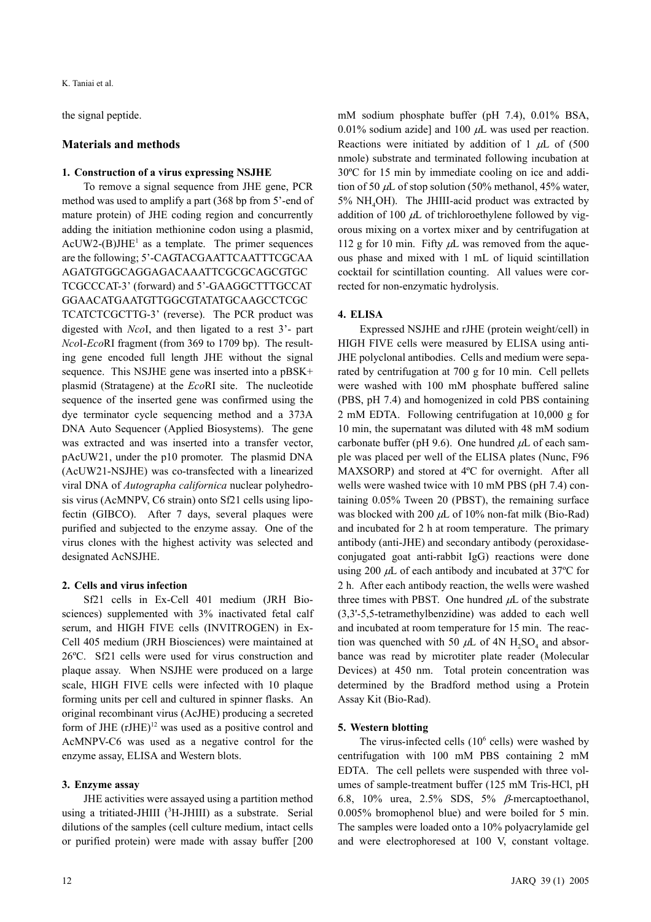K. Taniai et al.

the signal peptide.

# **Materials and methods**

# **1. Construction of a virus expressing NSJHE**

To remove a signal sequence from JHE gene, PCR method was used to amplify a part (368 bp from 5'-end of mature protein) of JHE coding region and concurrently adding the initiation methionine codon using a plasmid,  $AcUW2-(B)JHE<sup>1</sup>$  as a template. The primer sequences are the following; 5'-CAGTACGAATTCAATTTCGCAA AGATGTGGCAGGAGACAAATTCGCGCAGCGTGC TCGCCCAT-3' (forward) and 5'-GAAGGCTTTGCCAT GGAACATGAATGTTGGCGTATATGCAAGCCTCGC TCATCTCGCTTG-3' (reverse). The PCR product was digested with *Nco*I, and then ligated to a rest 3'- part *Nco*I-*Eco*RI fragment (from 369 to 1709 bp). The resulting gene encoded full length JHE without the signal sequence. This NSJHE gene was inserted into a pBSK+ plasmid (Stratagene) at the *Eco*RI site. The nucleotide sequence of the inserted gene was confirmed using the dye terminator cycle sequencing method and a 373A DNA Auto Sequencer (Applied Biosystems). The gene was extracted and was inserted into a transfer vector, pAcUW21, under the p10 promoter. The plasmid DNA (AcUW21-NSJHE) was co-transfected with a linearized viral DNA of *Autographa californica* nuclear polyhedrosis virus (AcMNPV, C6 strain) onto Sf21 cells using lipofectin (GIBCO). After 7 days, several plaques were purified and subjected to the enzyme assay. One of the virus clones with the highest activity was selected and designated AcNSJHE.

# **2. Cells and virus infection**

Sf21 cells in Ex-Cell 401 medium (JRH Biosciences) supplemented with 3% inactivated fetal calf serum, and HIGH FIVE cells (INVITROGEN) in Ex-Cell 405 medium (JRH Biosciences) were maintained at 26ºC. Sf21 cells were used for virus construction and plaque assay. When NSJHE were produced on a large scale, HIGH FIVE cells were infected with 10 plaque forming units per cell and cultured in spinner flasks. An original recombinant virus (AcJHE) producing a secreted form of JHE  $(rJHE)^{12}$  was used as a positive control and AcMNPV-C6 was used as a negative control for the enzyme assay, ELISA and Western blots.

# **3. Enzyme assay**

JHE activities were assayed using a partition method using a tritiated-JHIII (<sup>3</sup>H-JHIII) as a substrate. Serial dilutions of the samples (cell culture medium, intact cells or purified protein) were made with assay buffer [200 mM sodium phosphate buffer (pH 7.4), 0.01% BSA, 0.01% sodium azide] and 100  $\mu$ L was used per reaction. Reactions were initiated by addition of 1  $\mu$ L of (500) nmole) substrate and terminated following incubation at 30ºC for 15 min by immediate cooling on ice and addition of 50  $\mu$ L of stop solution (50% methanol, 45% water,  $5\%$  NH<sub>4</sub>OH). The JHIII-acid product was extracted by addition of 100  $\mu$ L of trichloroethylene followed by vigorous mixing on a vortex mixer and by centrifugation at 112 g for 10 min. Fifty  $\mu$ L was removed from the aqueous phase and mixed with 1 mL of liquid scintillation cocktail for scintillation counting. All values were corrected for non-enzymatic hydrolysis.

# **4. ELISA**

Expressed NSJHE and rJHE (protein weight/cell) in HIGH FIVE cells were measured by ELISA using anti-JHE polyclonal antibodies. Cells and medium were separated by centrifugation at 700 g for 10 min. Cell pellets were washed with 100 mM phosphate buffered saline (PBS, pH 7.4) and homogenized in cold PBS containing 2 mM EDTA. Following centrifugation at 10,000 g for 10 min, the supernatant was diluted with 48 mM sodium carbonate buffer (pH 9.6). One hundred  $\mu$ L of each sample was placed per well of the ELISA plates (Nunc, F96 MAXSORP) and stored at 4ºC for overnight. After all wells were washed twice with 10 mM PBS (pH 7.4) containing 0.05% Tween 20 (PBST), the remaining surface was blocked with 200  $\mu$ L of 10% non-fat milk (Bio-Rad) and incubated for 2 h at room temperature. The primary antibody (anti-JHE) and secondary antibody (peroxidaseconjugated goat anti-rabbit IgG) reactions were done using 200  $\mu$ L of each antibody and incubated at 37 $\degree$ C for 2 h. After each antibody reaction, the wells were washed three times with PBST. One hundred  $\mu L$  of the substrate (3,3'-5,5-tetramethylbenzidine) was added to each well and incubated at room temperature for 15 min. The reaction was quenched with 50  $\mu$ L of 4N H<sub>2</sub>SO<sub>4</sub> and absorbance was read by microtiter plate reader (Molecular Devices) at 450 nm. Total protein concentration was determined by the Bradford method using a Protein Assay Kit (Bio-Rad).

# **5. Western blotting**

The virus-infected cells  $(10^6 \text{ cells})$  were washed by centrifugation with 100 mM PBS containing 2 mM EDTA. The cell pellets were suspended with three volumes of sample-treatment buffer (125 mM Tris-HCl, pH 6.8, 10% urea, 2.5% SDS, 5% β-mercaptoethanol, 0.005% bromophenol blue) and were boiled for 5 min. The samples were loaded onto a 10% polyacrylamide gel and were electrophoresed at 100 V, constant voltage.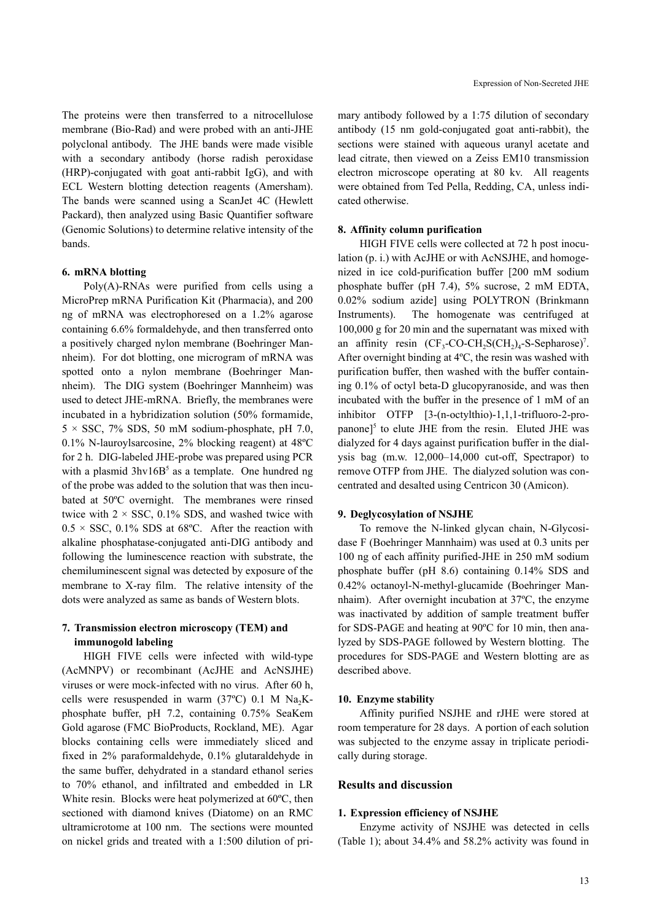The proteins were then transferred to a nitrocellulose membrane (Bio-Rad) and were probed with an anti-JHE polyclonal antibody. The JHE bands were made visible with a secondary antibody (horse radish peroxidase (HRP)-conjugated with goat anti-rabbit IgG), and with ECL Western blotting detection reagents (Amersham). The bands were scanned using a ScanJet 4C (Hewlett Packard), then analyzed using Basic Quantifier software (Genomic Solutions) to determine relative intensity of the bands.

### **6. mRNA blotting**

Poly(A)-RNAs were purified from cells using a MicroPrep mRNA Purification Kit (Pharmacia), and 200 ng of mRNA was electrophoresed on a 1.2% agarose containing 6.6% formaldehyde, and then transferred onto a positively charged nylon membrane (Boehringer Mannheim). For dot blotting, one microgram of mRNA was spotted onto a nylon membrane (Boehringer Mannheim). The DIG system (Boehringer Mannheim) was used to detect JHE-mRNA. Briefly, the membranes were incubated in a hybridization solution (50% formamide,  $5 \times SSC$ , 7% SDS, 50 mM sodium-phosphate, pH 7.0, 0.1% N-lauroylsarcosine, 2% blocking reagent) at 48ºC for 2 h. DIG-labeled JHE-probe was prepared using PCR with a plasmid  $3$ hv $16B<sup>5</sup>$  as a template. One hundred ng of the probe was added to the solution that was then incubated at 50ºC overnight. The membranes were rinsed twice with  $2 \times SSC$ , 0.1% SDS, and washed twice with  $0.5 \times$  SSC, 0.1% SDS at 68°C. After the reaction with alkaline phosphatase-conjugated anti-DIG antibody and following the luminescence reaction with substrate, the chemiluminescent signal was detected by exposure of the membrane to X-ray film. The relative intensity of the dots were analyzed as same as bands of Western blots.

# **7. Transmission electron microscopy (TEM) and immunogold labeling**

HIGH FIVE cells were infected with wild-type (AcMNPV) or recombinant (AcJHE and AcNSJHE) viruses or were mock-infected with no virus. After 60 h, cells were resuspended in warm  $(37^{\circ}C)$  0.1 M Na<sub>2</sub>Kphosphate buffer, pH 7.2, containing 0.75% SeaKem Gold agarose (FMC BioProducts, Rockland, ME). Agar blocks containing cells were immediately sliced and fixed in 2% paraformaldehyde, 0.1% glutaraldehyde in the same buffer, dehydrated in a standard ethanol series to 70% ethanol, and infiltrated and embedded in LR White resin. Blocks were heat polymerized at 60ºC, then sectioned with diamond knives (Diatome) on an RMC ultramicrotome at 100 nm. The sections were mounted on nickel grids and treated with a 1:500 dilution of primary antibody followed by a 1:75 dilution of secondary antibody (15 nm gold-conjugated goat anti-rabbit), the sections were stained with aqueous uranyl acetate and lead citrate, then viewed on a Zeiss EM10 transmission electron microscope operating at 80 kv. All reagents were obtained from Ted Pella, Redding, CA, unless indicated otherwise.

#### **8. Affinity column purification**

HIGH FIVE cells were collected at 72 h post inoculation (p. i.) with AcJHE or with AcNSJHE, and homogenized in ice cold-purification buffer [200 mM sodium phosphate buffer (pH 7.4), 5% sucrose, 2 mM EDTA, 0.02% sodium azide] using POLYTRON (Brinkmann Instruments). The homogenate was centrifuged at 100,000 g for 20 min and the supernatant was mixed with an affinity resin  $(CF_3$ -CO-CH<sub>2</sub>S(CH<sub>2</sub>)<sub>4</sub>-S-Sepharose)<sup>7</sup>. After overnight binding at 4ºC, the resin was washed with purification buffer, then washed with the buffer containing 0.1% of octyl beta-D glucopyranoside, and was then incubated with the buffer in the presence of 1 mM of an inhibitor OTFP [3-(n-octylthio)-1,1,1-trifluoro-2-propanone] $5$  to elute JHE from the resin. Eluted JHE was dialyzed for 4 days against purification buffer in the dialysis bag (m.w. 12,000–14,000 cut-off, Spectrapor) to remove OTFP from JHE. The dialyzed solution was concentrated and desalted using Centricon 30 (Amicon).

#### **9. Deglycosylation of NSJHE**

To remove the N-linked glycan chain, N-Glycosidase F (Boehringer Mannhaim) was used at 0.3 units per 100 ng of each affinity purified-JHE in 250 mM sodium phosphate buffer (pH 8.6) containing 0.14% SDS and 0.42% octanoyl-N-methyl-glucamide (Boehringer Mannhaim). After overnight incubation at 37ºC, the enzyme was inactivated by addition of sample treatment buffer for SDS-PAGE and heating at 90ºC for 10 min, then analyzed by SDS-PAGE followed by Western blotting. The procedures for SDS-PAGE and Western blotting are as described above.

#### **10. Enzyme stability**

Affinity purified NSJHE and rJHE were stored at room temperature for 28 days. A portion of each solution was subjected to the enzyme assay in triplicate periodically during storage.

# **Results and discussion**

#### **1. Expression efficiency of NSJHE**

Enzyme activity of NSJHE was detected in cells (Table 1); about 34.4% and 58.2% activity was found in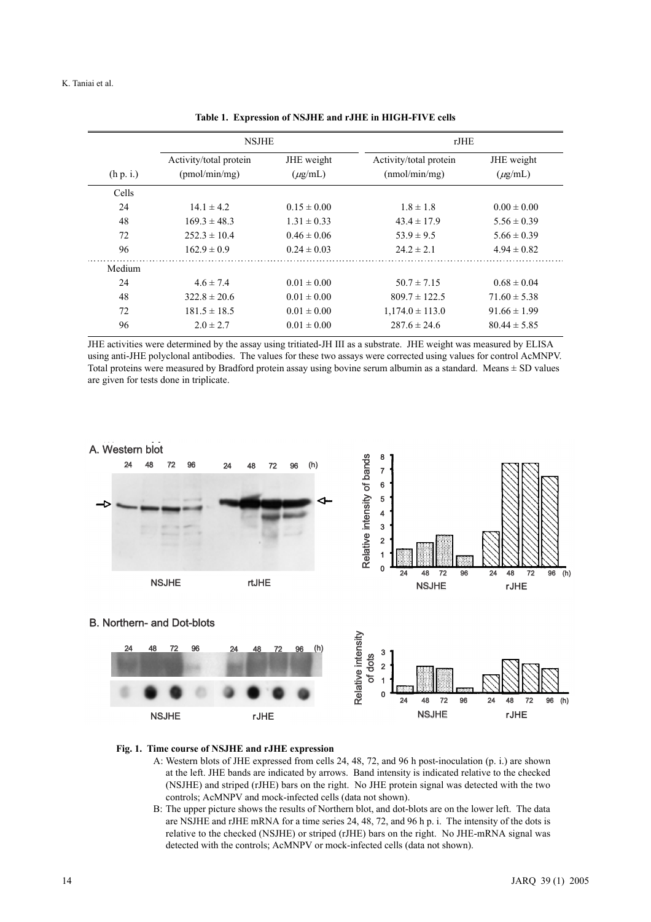|           | <b>NSJHE</b>                            |                            | rJHE                                    |                            |  |
|-----------|-----------------------------------------|----------------------------|-----------------------------------------|----------------------------|--|
| (h p. i.) | Activity/total protein<br>(pmol/min/mg) | JHE weight<br>$(\mu$ g/mL) | Activity/total protein<br>(mmol/min/mg) | JHE weight<br>$(\mu$ g/mL) |  |
| Cells     |                                         |                            |                                         |                            |  |
| 24        | $14.1 \pm 4.2$                          | $0.15 \pm 0.00$            | $1.8 \pm 1.8$                           | $0.00 \pm 0.00$            |  |
| 48        | $169.3 \pm 48.3$                        | $1.31 \pm 0.33$            | $43.4 \pm 17.9$                         | $5.56 \pm 0.39$            |  |
| 72        | $252.3 \pm 10.4$                        | $0.46 \pm 0.06$            | $53.9 \pm 9.5$                          | $5.66 \pm 0.39$            |  |
| 96        | $162.9 \pm 0.9$                         | $0.24 \pm 0.03$            | $24.2 \pm 2.1$                          | $4.94 \pm 0.82$            |  |
| Medium    |                                         |                            |                                         |                            |  |
| 24        | $4.6 \pm 7.4$                           | $0.01 \pm 0.00$            | $50.7 \pm 7.15$                         | $0.68 \pm 0.04$            |  |
| 48        | $322.8 \pm 20.6$                        | $0.01 \pm 0.00$            | $809.7 \pm 122.5$                       | $71.60 \pm 5.38$           |  |
| 72        | $181.5 \pm 18.5$                        | $0.01 \pm 0.00$            | $1,174.0 \pm 113.0$                     | $91.66 \pm 1.99$           |  |
| 96        | $2.0 \pm 2.7$                           | $0.01 \pm 0.00$            | $287.6 \pm 24.6$                        | $80.44 \pm 5.85$           |  |

**Table 1. Expression of NSJHE and rJHE in HIGH-FIVE cells**

JHE activities were determined by the assay using tritiated-JH III as a substrate. JHE weight was measured by ELISA using anti-JHE polyclonal antibodies. The values for these two assays were corrected using values for control AcMNPV. Total proteins were measured by Bradford protein assay using bovine serum albumin as a standard. Means ± SD values are given for tests done in triplicate.



#### **Fig. 1. Time course of NSJHE and rJHE expression**

- A: Western blots of JHE expressed from cells 24, 48, 72, and 96 h post-inoculation (p. i.) are shown at the left. JHE bands are indicated by arrows. Band intensity is indicated relative to the checked (NSJHE) and striped (rJHE) bars on the right. No JHE protein signal was detected with the two controls; AcMNPV and mock-infected cells (data not shown).
- B: The upper picture shows the results of Northern blot, and dot-blots are on the lower left. The data are NSJHE and rJHE mRNA for a time series 24, 48, 72, and 96 h p. i. The intensity of the dots is relative to the checked (NSJHE) or striped (rJHE) bars on the right. No JHE-mRNA signal was detected with the controls; AcMNPV or mock-infected cells (data not shown).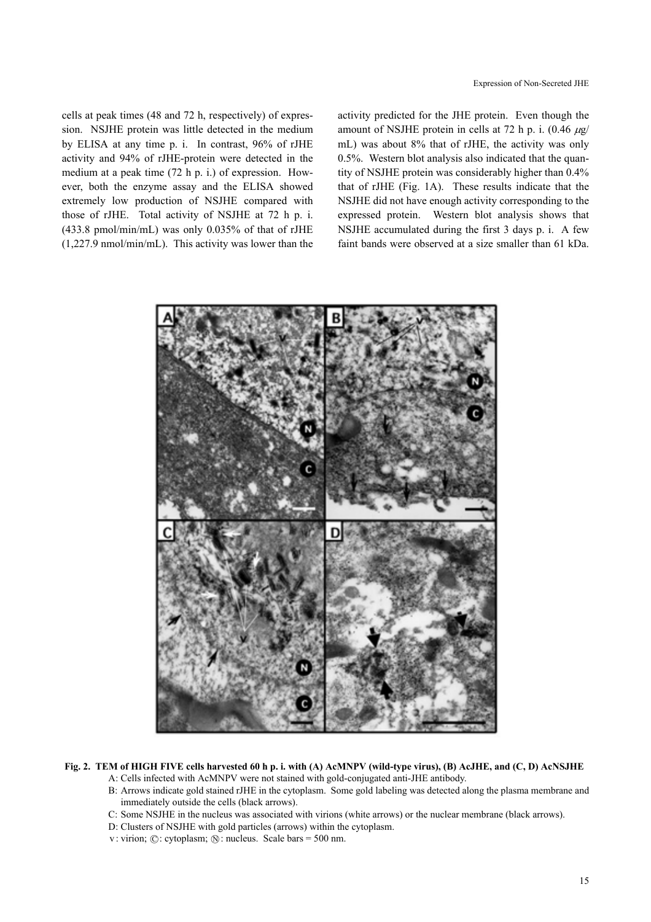Expression of Non-Secreted JHE

cells at peak times (48 and 72 h, respectively) of expression. NSJHE protein was little detected in the medium by ELISA at any time p. i. In contrast, 96% of rJHE activity and 94% of rJHE-protein were detected in the medium at a peak time (72 h p. i.) of expression. However, both the enzyme assay and the ELISA showed extremely low production of NSJHE compared with those of rJHE. Total activity of NSJHE at 72 h p. i. (433.8 pmol/min/mL) was only 0.035% of that of rJHE (1,227.9 nmol/min/mL). This activity was lower than the activity predicted for the JHE protein. Even though the amount of NSJHE protein in cells at 72 h p. i.  $(0.46 \mu g)$ mL) was about 8% that of rJHE, the activity was only 0.5%. Western blot analysis also indicated that the quantity of NSJHE protein was considerably higher than 0.4% that of rJHE (Fig. 1A). These results indicate that the NSJHE did not have enough activity corresponding to the expressed protein. Western blot analysis shows that NSJHE accumulated during the first 3 days p. i. A few faint bands were observed at a size smaller than 61 kDa.



**Fig. 2. TEM of HIGH FIVE cells harvested 60 h p. i. with (A) AcMNPV (wild-type virus), (B) AcJHE, and (C, D) AcNSJHE** 

A: Cells infected with AcMNPV were not stained with gold-conjugated anti-JHE antibody.

- B: Arrows indicate gold stained rJHE in the cytoplasm. Some gold labeling was detected along the plasma membrane and immediately outside the cells (black arrows).
- C: Some NSJHE in the nucleus was associated with virions (white arrows) or the nuclear membrane (black arrows).
- D: Clusters of NSJHE with gold particles (arrows) within the cytoplasm.
- v: virion; ©: cytoplasm; ®: nucleus. Scale bars = 500 nm.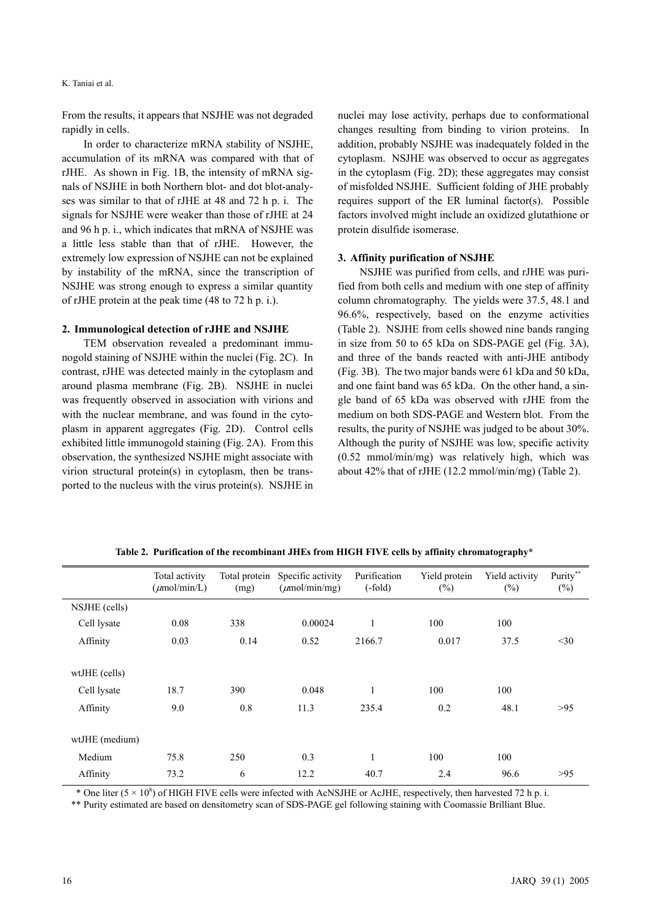From the results, it appears that NSJHE was not degraded rapidly in cells.

In order to characterize mRNA stability of NSJHE, accumulation of its mRNA was compared with that of rJHE. As shown in Fig. 1B, the intensity of mRNA signals of NSJHE in both Northern blot- and dot blot-analyses was similar to that of rJHE at 48 and 72 h p. i. The signals for NSJHE were weaker than those of rJHE at 24 and 96 h p. i., which indicates that mRNA of NSJHE was a little less stable than that of rJHE. However, the extremely low expression of NSJHE can not be explained by instability of the mRNA, since the transcription of NSJHE was strong enough to express a similar quantity of rJHE protein at the peak time (48 to 72 h p. i.).

#### **2. Immunological detection of rJHE and NSJHE**

TEM observation revealed a predominant immunogold staining of NSJHE within the nuclei (Fig. 2C). In contrast, rJHE was detected mainly in the cytoplasm and around plasma membrane (Fig. 2B). NSJHE in nuclei was frequently observed in association with virions and with the nuclear membrane, and was found in the cytoplasm in apparent aggregates (Fig. 2D). Control cells exhibited little immunogold staining (Fig. 2A). From this observation, the synthesized NSJHE might associate with virion structural protein(s) in cytoplasm, then be transported to the nucleus with the virus protein(s). NSJHE in nuclei may lose activity, perhaps due to conformational changes resulting from binding to virion proteins. In addition, probably NSJHE was inadequately folded in the cytoplasm. NSJHE was observed to occur as aggregates in the cytoplasm (Fig. 2D); these aggregates may consist of misfolded NSJHE. Sufficient folding of JHE probably requires support of the ER luminal factor(s). Possible factors involved might include an oxidized glutathione or protein disulfide isomerase.

## **3. Affinity purification of NSJHE**

NSJHE was purified from cells, and rJHE was purified from both cells and medium with one step of affinity column chromatography. The yields were 37.5, 48.1 and 96.6%, respectively, based on the enzyme activities (Table 2). NSJHE from cells showed nine bands ranging in size from 50 to 65 kDa on SDS-PAGE gel (Fig. 3A), and three of the bands reacted with anti-JHE antibody (Fig. 3B). The two major bands were 61 kDa and 50 kDa, and one faint band was 65 kDa. On the other hand, a single band of 65 kDa was observed with rJHE from the medium on both SDS-PAGE and Western blot. From the results, the purity of NSJHE was judged to be about 30%. Although the purity of NSJHE was low, specific activity (0.52 mmol/min/mg) was relatively high, which was about 42% that of rJHE (12.2 mmol/min/mg) (Table 2).

|                | Total activity<br>$(\mu \text{mol/min/L})$ | Total protein<br>(mg) | Specific activity<br>$(\mu \text{mol/min/mg})$ | Purification<br>$(-fold)$ | Yield protein<br>$(\%)$ | Yield activity<br>$(\%)$ | Purity**<br>$(\%)$ |
|----------------|--------------------------------------------|-----------------------|------------------------------------------------|---------------------------|-------------------------|--------------------------|--------------------|
| NSJHE (cells)  |                                            |                       |                                                |                           |                         |                          |                    |
| Cell lysate    | 0.08                                       | 338                   | 0.00024                                        | 1                         | 100                     | 100                      |                    |
| Affinity       | 0.03                                       | 0.14                  | 0.52                                           | 2166.7                    | 0.017                   | 37.5                     | $30$               |
| wtJHE (cells)  |                                            |                       |                                                |                           |                         |                          |                    |
| Cell lysate    | 18.7                                       | 390                   | 0.048                                          | 1                         | 100                     | 100                      |                    |
| Affinity       | 9.0                                        | 0.8                   | 11.3                                           | 235.4                     | 0.2                     | 48.1                     | >95                |
| wtJHE (medium) |                                            |                       |                                                |                           |                         |                          |                    |
| Medium         | 75.8                                       | 250                   | 0.3                                            |                           | 100                     | 100                      |                    |
| Affinity       | 73.2                                       | 6                     | 12.2                                           | 40.7                      | 2.4                     | 96.6                     | >95                |

**Table 2. Purification of the recombinant JHEs from HIGH FIVE cells by affinity chromatography\*** 

\* One liter ( $5 \times 10^8$ ) of HIGH FIVE cells were infected with AcNSJHE or AcJHE, respectively, then harvested 72 h p. i.

\*\* Purity estimated are based on densitometry scan of SDS-PAGE gel following staining with Coomassie Brilliant Blue.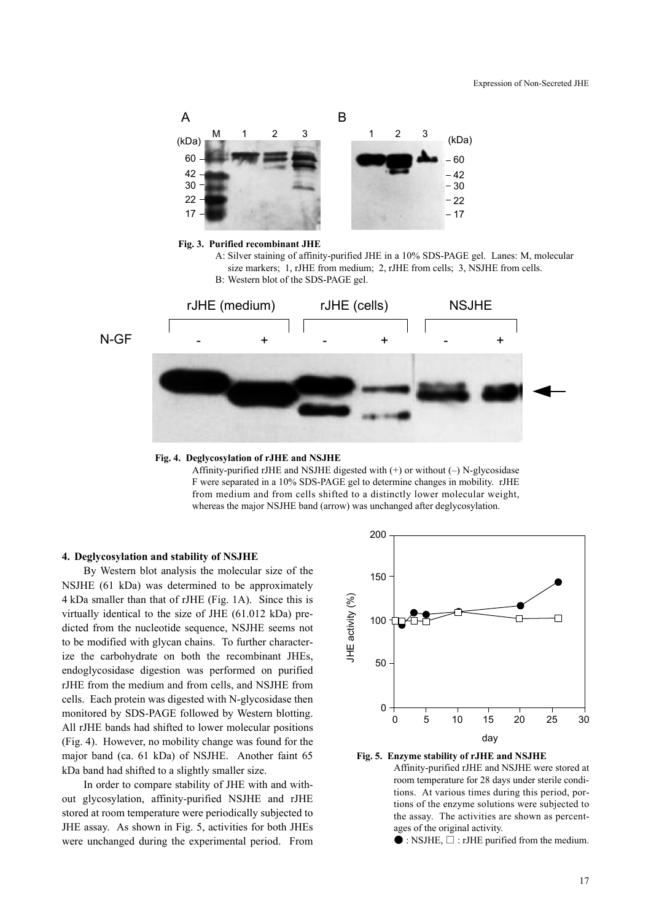



Affinity-purified rJHE and NSJHE digested with (+) or without (–) N-glycosidase F were separated in a 10% SDS-PAGE gel to determine changes in mobility. rJHE from medium and from cells shifted to a distinctly lower molecular weight, whereas the major NSJHE band (arrow) was unchanged after deglycosylation.

# **4. Deglycosylation and stability of NSJHE**

By Western blot analysis the molecular size of the NSJHE (61 kDa) was determined to be approximately 4 kDa smaller than that of rJHE (Fig. 1A). Since this is virtually identical to the size of JHE (61.012 kDa) predicted from the nucleotide sequence, NSJHE seems not to be modified with glycan chains. To further characterize the carbohydrate on both the recombinant JHEs, endoglycosidase digestion was performed on purified rJHE from the medium and from cells, and NSJHE from cells. Each protein was digested with N-glycosidase then monitored by SDS-PAGE followed by Western blotting. All rJHE bands had shifted to lower molecular positions (Fig. 4). However, no mobility change was found for the major band (ca. 61 kDa) of NSJHE. Another faint 65 kDa band had shifted to a slightly smaller size.

In order to compare stability of JHE with and without glycosylation, affinity-purified NSJHE and rJHE stored at room temperature were periodically subjected to JHE assay. As shown in Fig. 5, activities for both JHEs were unchanged during the experimental period. From





Affinity-purified rJHE and NSJHE were stored at room temperature for 28 days under sterile conditions. At various times during this period, portions of the enzyme solutions were subjected to the assay. The activities are shown as percentages of the original activity.

 $\bullet$  : NSJHE,  $\square$  : rJHE purified from the medium.